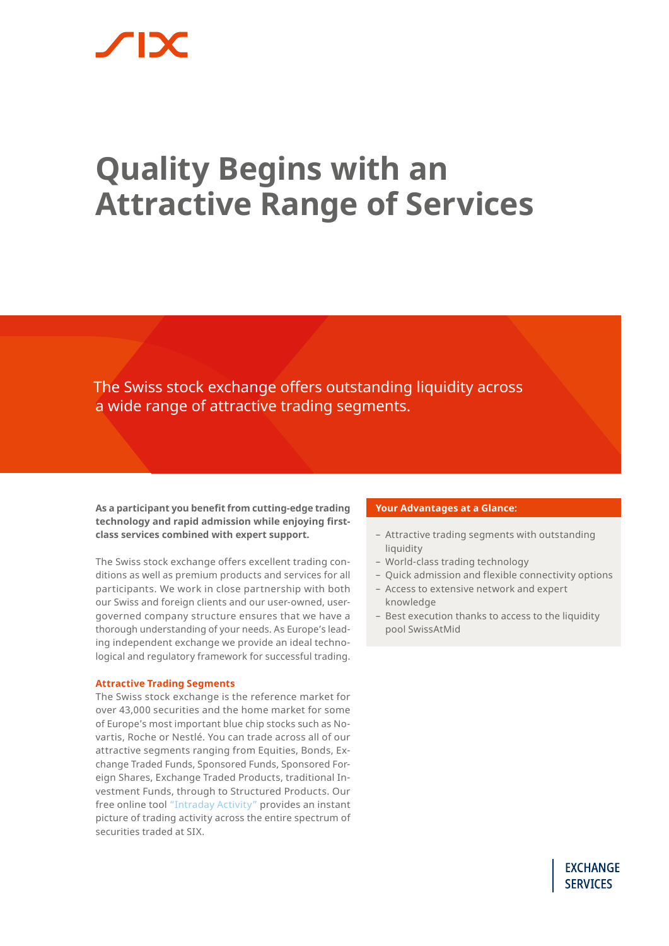# **Quality Begins with an Attractive Range of Services**

The Swiss stock exchange offers outstanding liquidity across a wide range of attractive trading segments.

**As a participant you benefit from cutting-edge trading technology and rapid admission while enjoying firstclass services combined with expert support.** 

The Swiss stock exchange offers excellent trading conditions as well as premium products and services for all participants. We work in close partnership with both our Swiss and foreign clients and our user-owned, usergoverned company structure ensures that we have a thorough understanding of your needs. As Europe's leading independent exchange we provide an ideal technological and regulatory framework for successful trading.

#### **Attractive Trading Segments**

The Swiss stock exchange is the reference market for over 43,000 securities and the home market for some of Europe's most important blue chip stocks such as Novartis, Roche or Nestlé. You can trade across all of our attractive segments ranging from Equities, Bonds, Exchange Traded Funds, Sponsored Funds, Sponsored Foreign Shares, Exchange Traded Products, traditional Investment Funds, through to Structured Products. Our free online tool ["Intraday Activity"](https://www.six-group.com/exchanges/statistics/intraday_activity_en.html) provides an instant picture of trading activity across the entire spectrum of securities traded at SIX.

#### **Your Advantages at a Glance:**

- Attractive trading segments with outstanding liquidity
- World-class trading technology
- Quick admission and flexible connectivity options
- Access to extensive network and expert knowledge
- Best execution thanks to access to the liquidity pool SwissAtMid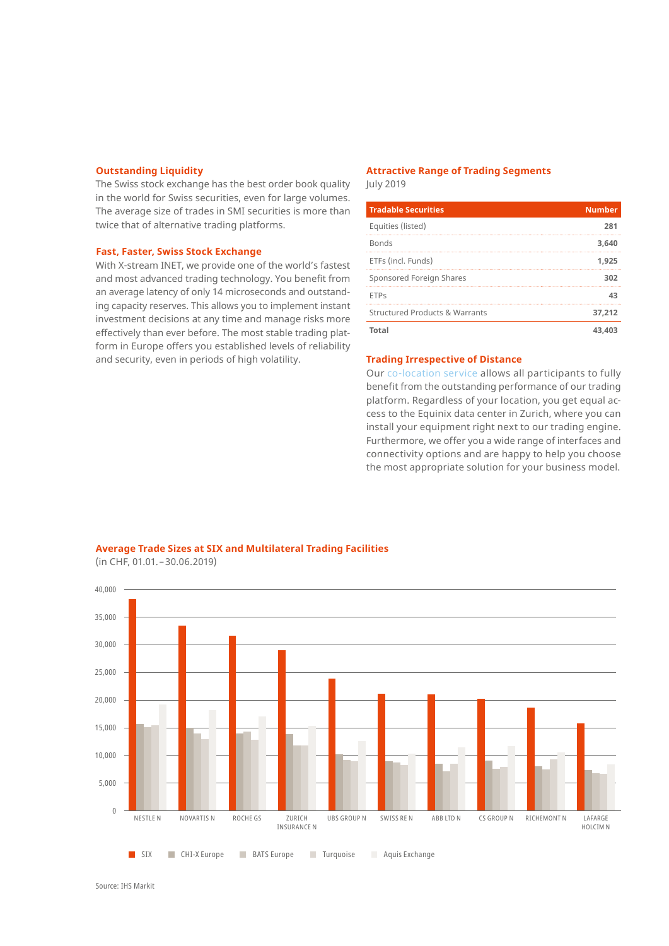#### **Outstanding Liquidity**

The Swiss stock exchange has the best order book quality in the world for Swiss securities, even for large volumes. The average size of trades in SMI securities is more than twice that of alternative trading platforms.

#### **Fast, Faster, Swiss Stock Exchange**

With X-stream INET, we provide one of the world's fastest and most advanced trading technology. You benefit from an average latency of only 14 microseconds and outstanding capacity reserves. This allows you to implement instant investment decisions at any time and manage risks more effectively than ever before. The most stable trading platform in Europe offers you established levels of reliability and security, even in periods of high volatility.

### **Attractive Range of Trading Segments**

July 2019

| <b>Tradable Securities</b>                | <b>Number</b> |
|-------------------------------------------|---------------|
| Equities (listed)                         | 281           |
| <b>Bonds</b>                              | 3.640         |
| ETFs (incl. Funds)                        | 1.925         |
| Sponsored Foreign Shares                  | 302           |
| <b>ETPs</b>                               | 43            |
| <b>Structured Products &amp; Warrants</b> | 37.212        |
| Total                                     | 43.4          |

#### **Trading Irrespective of Distance**

Our [co-location service](https://www.six-group.com/exchanges/participants/participation/connectivity_en.html) allows all participants to fully benefit from the outstanding performance of our trading platform. Regardless of your location, you get equal access to the Equinix data center in Zurich, where you can install your equipment right next to our trading engine. Furthermore, we offer you a wide range of interfaces and connectivity options and are happy to help you choose the most appropriate solution for your business model.



**Average Trade Sizes at SIX and Multilateral Trading Facilities** (in CHF, 01.01.–30.06.2019)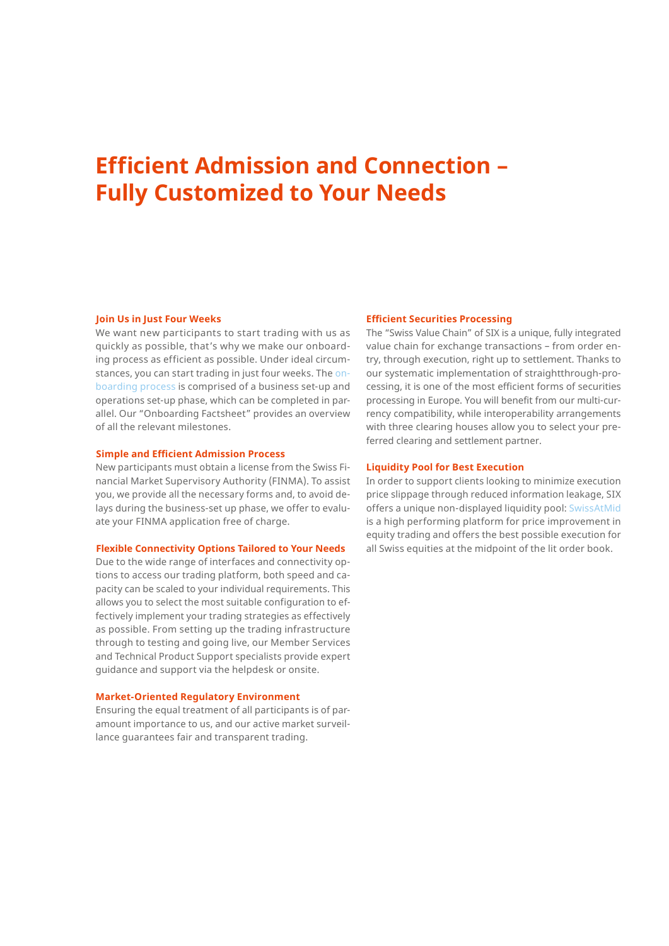## **Efficient Admission and Connection – Fully Customized to Your Needs**

#### **Join Us in Just Four Weeks**

We want new participants to start trading with us as quickly as possible, that's why we make our onboarding process as efficient as possible. Under ideal circumstances, you can start trading in just four weeks. The [on](https://www.six-group.com/exchanges/participants/participation_en.html)[boarding process](https://www.six-group.com/exchanges/participants/participation_en.html) is comprised of a business set-up and operations set-up phase, which can be completed in parallel. Our "Onboarding Factsheet" provides an overview of all the relevant milestones.

#### **Simple and Efficient Admission Process**

New participants must obtain a license from the Swiss Financial Market Supervisory Authority (FINMA). To assist you, we provide all the necessary forms and, to avoid delays during the business-set up phase, we offer to evaluate your FINMA application free of charge.

#### **Flexible Connectivity Options Tailored to Your Needs**

Due to the wide range of interfaces and connectivity options to access our trading platform, both speed and capacity can be scaled to your individual requirements. This allows you to select the most suitable configuration to effectively implement your trading strategies as effectively as possible. From setting up the trading infrastructure through to testing and going live, our Member Services and Technical Product Support specialists provide expert guidance and support via the helpdesk or onsite.

#### **Market-Oriented Regulatory Environment**

Ensuring the equal treatment of all participants is of paramount importance to us, and our active market surveillance guarantees fair and transparent trading.

#### **Efficient Securities Processing**

The "Swiss Value Chain" of SIX is a unique, fully integrated value chain for exchange transactions – from order entry, through execution, right up to settlement. Thanks to our systematic implementation of straightthrough-processing, it is one of the most efficient forms of securities processing in Europe. You will benefit from our multi-currency compatibility, while interoperability arrangements with three clearing houses allow you to select your preferred clearing and settlement partner.

#### **Liquidity Pool for Best Execution**

In order to support clients looking to minimize execution price slippage through reduced information leakage, SIX offers a unique non-displayed liquidity pool: [SwissAtMid](https://www.six-group.com/exchanges/participants/trading/equity_markets/swiss_listed/swissatmid_en.html) is a high performing platform for price improvement in equity trading and offers the best possible execution for all Swiss equities at the midpoint of the lit order book.